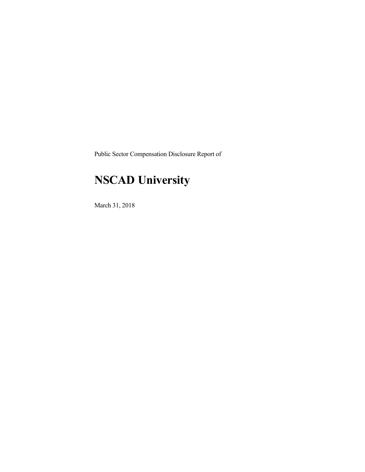Public Sector Compensation Disclosure Report of

## **NSCAD University**

March 31, 2018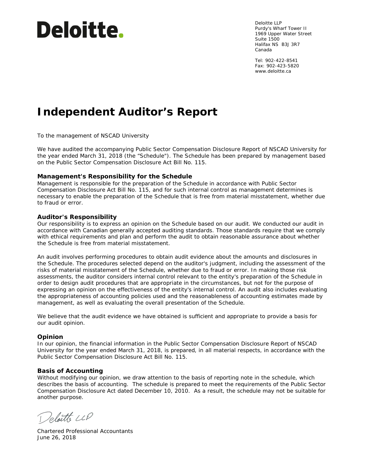# **Deloitte.**

Deloitte LLP Purdy's Wharf Tower II 1969 Upper Water Street Suite 1500 Halifax NS B3J 3R7 Canada

Tel: 902-422-8541 Fax: 902-423-5820 www.deloitte.ca

## **Independent Auditor's Report**

To the management of NSCAD University

We have audited the accompanying Public Sector Compensation Disclosure Report of NSCAD University for the year ended March 31, 2018 (the "Schedule"). The Schedule has been prepared by management based on the Public Sector Compensation Disclosure Act Bill No. 115.

#### **Management's Responsibility for the Schedule**

Management is responsible for the preparation of the Schedule in accordance with Public Sector Compensation Disclosure Act Bill No. 115, and for such internal control as management determines is necessary to enable the preparation of the Schedule that is free from material misstatement, whether due to fraud or error.

#### **Auditor's Responsibility**

Our responsibility is to express an opinion on the Schedule based on our audit. We conducted our audit in accordance with Canadian generally accepted auditing standards. Those standards require that we comply with ethical requirements and plan and perform the audit to obtain reasonable assurance about whether the Schedule is free from material misstatement.

An audit involves performing procedures to obtain audit evidence about the amounts and disclosures in the Schedule. The procedures selected depend on the auditor's judgment, including the assessment of the risks of material misstatement of the Schedule, whether due to fraud or error. In making those risk assessments, the auditor considers internal control relevant to the entity's preparation of the Schedule in order to design audit procedures that are appropriate in the circumstances, but not for the purpose of expressing an opinion on the effectiveness of the entity's internal control. An audit also includes evaluating the appropriateness of accounting policies used and the reasonableness of accounting estimates made by management, as well as evaluating the overall presentation of the Schedule.

We believe that the audit evidence we have obtained is sufficient and appropriate to provide a basis for our audit opinion.

#### **Opinion**

In our opinion, the financial information in the Public Sector Compensation Disclosure Report of NSCAD University for the year ended March 31, 2018, is prepared, in all material respects, in accordance with the Public Sector Compensation Disclosure Act Bill No. 115.

#### **Basis of Accounting**

Without modifying our opinion, we draw attention to the basis of reporting note in the schedule, which describes the basis of accounting. The schedule is prepared to meet the requirements of the Public Sector Compensation Disclosure Act dated December 10, 2010. As a result, the schedule may not be suitable for another purpose.

Deloitte LLP

Chartered Professional Accountants June 26, 2018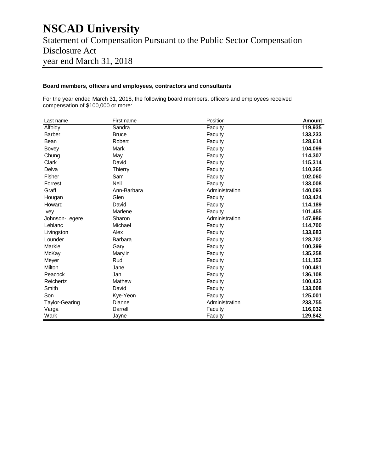### **NSCAD University** Statement of Compensation Pursuant to the Public Sector Compensation Disclosure Act year end March 31, 2018

#### **Board members, officers and employees, contractors and consultants**

For the year ended March 31, 2018, the following board members, officers and employees received compensation of \$100,000 or more:

| Last name             | First name     | Position       | <b>Amount</b> |
|-----------------------|----------------|----------------|---------------|
| Alfoldy               | Sandra         | Faculty        | 119,935       |
| <b>Barber</b>         | <b>Bruce</b>   | Faculty        | 133,233       |
| Bean                  | Robert         | Faculty        | 128,614       |
| <b>Bovey</b>          | Mark           | Faculty        | 104,099       |
| Chung                 | May            | Faculty        | 114,307       |
| Clark                 | David          | Faculty        | 115,314       |
| Delva                 | Thierry        | Faculty        | 110,265       |
| Fisher                | Sam            | Faculty        | 102,060       |
| Forrest               | Neil           | Faculty        | 133,008       |
| Graff                 | Ann-Barbara    | Administration | 140,093       |
| Hougan                | Glen           | Faculty        | 103,424       |
| Howard                | David          | Faculty        | 114,189       |
| <b>Ivey</b>           | Marlene        | Faculty        | 101,455       |
| Johnson-Legere        | Sharon         | Administration | 147,986       |
| Leblanc               | Michael        | Faculty        | 114,700       |
| Livingston            | Alex           | Faculty        | 133,683       |
| Lounder               | <b>Barbara</b> | Faculty        | 128,702       |
| Markle                | Gary           | Faculty        | 100,399       |
| McKay                 | Marylin        | Faculty        | 135,258       |
| Meyer                 | Rudi           | Faculty        | 111,152       |
| Milton                | Jane           | Faculty        | 100,481       |
| Peacock               | Jan            | Faculty        | 136,108       |
| Reichertz             | Mathew         | Faculty        | 100,433       |
| Smith                 | David          | Faculty        | 133,008       |
| Son                   | Kye-Yeon       | Faculty        | 125,001       |
| <b>Taylor-Gearing</b> | Dianne         | Administration | 233,755       |
| Varga                 | Darrell        | Faculty        | 116,032       |
| Wark                  | Jayne          | Faculty        | 129,842       |